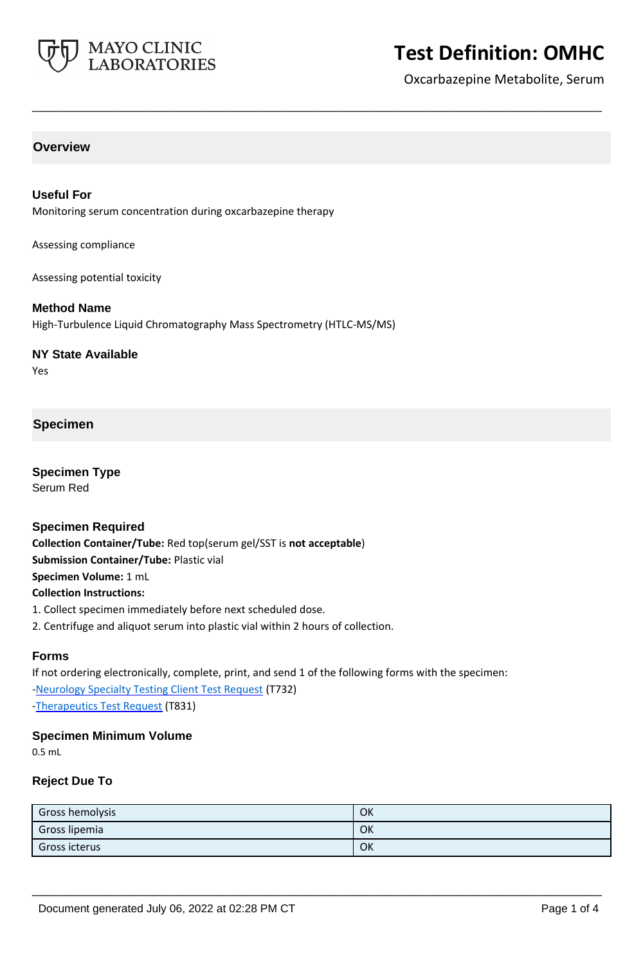

# **Test Definition: OMHC**

Oxcarbazepine Metabolite, Serum

# **Overview**

#### **Useful For**

Monitoring serum concentration during oxcarbazepine therapy

Assessing compliance

Assessing potential toxicity

#### **Method Name**

High-Turbulence Liquid Chromatography Mass Spectrometry (HTLC-MS/MS)

#### **NY State Available**

Yes

## **Specimen**

**Specimen Type** Serum Red

#### **Specimen Required**

**Collection Container/Tube:** Red top(serum gel/SST is **not acceptable**) **Submission Container/Tube:** Plastic vial **Specimen Volume:** 1 mL **Collection Instructions:**

- 1. Collect specimen immediately before next scheduled dose.
- 2. Centrifuge and aliquot serum into plastic vial within 2 hours of collection.

# **Forms**

If not ordering electronically, complete, print, and send 1 of the following forms with the specimen: [-Neurology Specialty Testing Client Test Request](https://www.mayocliniclabs.com/it-mmfiles/neurology-request-form.pdf) (T732) [-Therapeutics Test Request](https://www.mayocliniclabs.com/it-mmfiles/Therapeutics-Requisition-Request-Form_MC0767-19.pdf) (T831)

# **Specimen Minimum Volume**

0.5 mL

# **Reject Due To**

| Gross hemolysis | OK |
|-----------------|----|
| Gross lipemia   | OK |
| Gross icterus   | OK |

**\_\_\_\_\_\_\_\_\_\_\_\_\_\_\_\_\_\_\_\_\_\_\_\_\_\_\_\_\_\_\_\_\_\_\_\_\_\_\_\_\_\_\_\_\_\_\_\_\_\_\_**

**\_\_\_\_\_\_\_\_\_\_\_\_\_\_\_\_\_\_\_\_\_\_\_\_\_\_\_\_\_\_\_\_\_\_\_\_\_\_\_\_\_\_\_\_\_\_\_\_\_\_\_**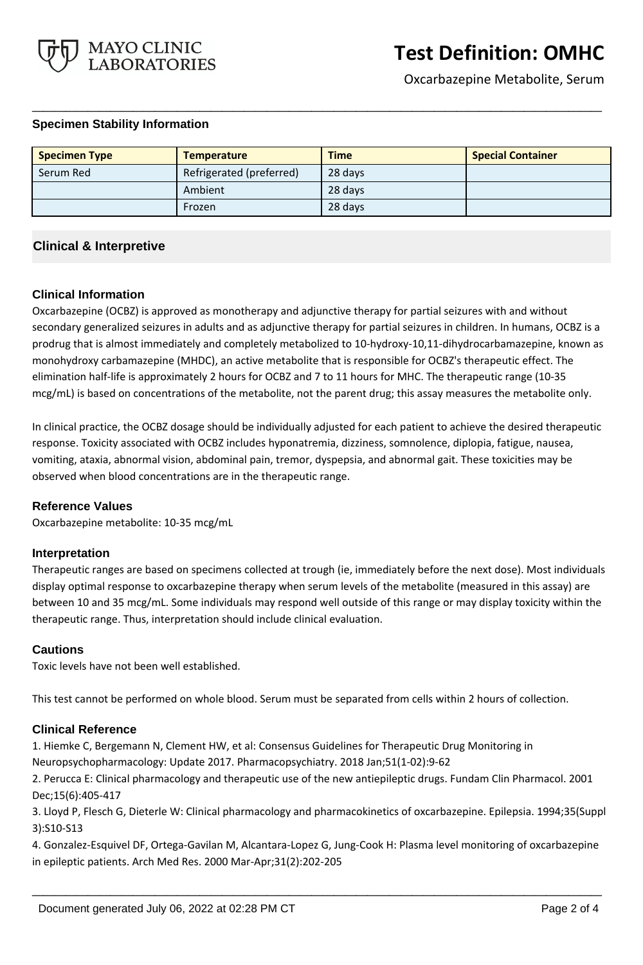

Oxcarbazepine Metabolite, Serum

### **Specimen Stability Information**

| <b>Specimen Type</b> | <b>Temperature</b>       | <b>Time</b> | <b>Special Container</b> |
|----------------------|--------------------------|-------------|--------------------------|
| Serum Red            | Refrigerated (preferred) | 28 days     |                          |
|                      | Ambient                  | 28 days     |                          |
|                      | Frozen                   | 28 days     |                          |

**\_\_\_\_\_\_\_\_\_\_\_\_\_\_\_\_\_\_\_\_\_\_\_\_\_\_\_\_\_\_\_\_\_\_\_\_\_\_\_\_\_\_\_\_\_\_\_\_\_\_\_**

# **Clinical & Interpretive**

### **Clinical Information**

Oxcarbazepine (OCBZ) is approved as monotherapy and adjunctive therapy for partial seizures with and without secondary generalized seizures in adults and as adjunctive therapy for partial seizures in children. In humans, OCBZ is a prodrug that is almost immediately and completely metabolized to 10-hydroxy-10,11-dihydrocarbamazepine, known as monohydroxy carbamazepine (MHDC), an active metabolite that is responsible for OCBZ's therapeutic effect. The elimination half-life is approximately 2 hours for OCBZ and 7 to 11 hours for MHC. The therapeutic range (10-35 mcg/mL) is based on concentrations of the metabolite, not the parent drug; this assay measures the metabolite only.

In clinical practice, the OCBZ dosage should be individually adjusted for each patient to achieve the desired therapeutic response. Toxicity associated with OCBZ includes hyponatremia, dizziness, somnolence, diplopia, fatigue, nausea, vomiting, ataxia, abnormal vision, abdominal pain, tremor, dyspepsia, and abnormal gait. These toxicities may be observed when blood concentrations are in the therapeutic range.

### **Reference Values**

Oxcarbazepine metabolite: 10-35 mcg/mL

### **Interpretation**

Therapeutic ranges are based on specimens collected at trough (ie, immediately before the next dose). Most individuals display optimal response to oxcarbazepine therapy when serum levels of the metabolite (measured in this assay) are between 10 and 35 mcg/mL. Some individuals may respond well outside of this range or may display toxicity within the therapeutic range. Thus, interpretation should include clinical evaluation.

### **Cautions**

Toxic levels have not been well established.

This test cannot be performed on whole blood. Serum must be separated from cells within 2 hours of collection.

### **Clinical Reference**

1. Hiemke C, Bergemann N, Clement HW, et al: Consensus Guidelines for Therapeutic Drug Monitoring in

Neuropsychopharmacology: Update 2017. Pharmacopsychiatry. 2018 Jan;51(1-02):9-62

2. Perucca E: Clinical pharmacology and therapeutic use of the new antiepileptic drugs. Fundam Clin Pharmacol. 2001 Dec;15(6):405-417

3. Lloyd P, Flesch G, Dieterle W: Clinical pharmacology and pharmacokinetics of oxcarbazepine. Epilepsia. 1994;35(Suppl 3):S10-S13

4. Gonzalez-Esquivel DF, Ortega-Gavilan M, Alcantara-Lopez G, Jung-Cook H: Plasma level monitoring of oxcarbazepine in epileptic patients. Arch Med Res. 2000 Mar-Apr;31(2):202-205

**\_\_\_\_\_\_\_\_\_\_\_\_\_\_\_\_\_\_\_\_\_\_\_\_\_\_\_\_\_\_\_\_\_\_\_\_\_\_\_\_\_\_\_\_\_\_\_\_\_\_\_**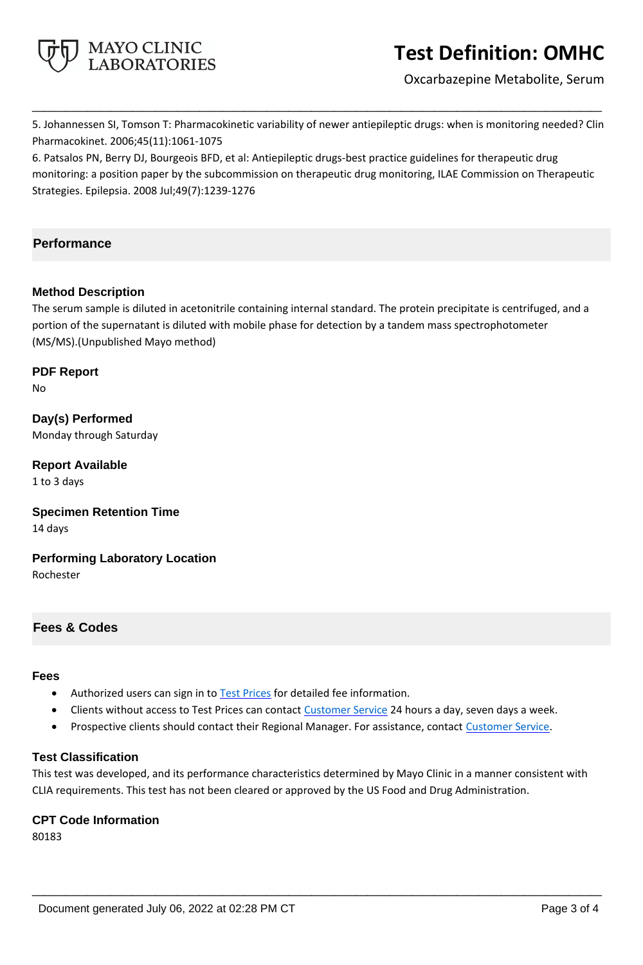

# **Test Definition: OMHC**

Oxcarbazepine Metabolite, Serum

5. Johannessen SI, Tomson T: Pharmacokinetic variability of newer antiepileptic drugs: when is monitoring needed? Clin Pharmacokinet. 2006;45(11):1061-1075

**\_\_\_\_\_\_\_\_\_\_\_\_\_\_\_\_\_\_\_\_\_\_\_\_\_\_\_\_\_\_\_\_\_\_\_\_\_\_\_\_\_\_\_\_\_\_\_\_\_\_\_**

6. Patsalos PN, Berry DJ, Bourgeois BFD, et al: Antiepileptic drugs-best practice guidelines for therapeutic drug monitoring: a position paper by the subcommission on therapeutic drug monitoring, ILAE Commission on Therapeutic Strategies. Epilepsia. 2008 Jul;49(7):1239-1276

# **Performance**

## **Method Description**

The serum sample is diluted in acetonitrile containing internal standard. The protein precipitate is centrifuged, and a portion of the supernatant is diluted with mobile phase for detection by a tandem mass spectrophotometer (MS/MS).(Unpublished Mayo method)

**PDF Report** No

**Day(s) Performed** Monday through Saturday

**Report Available** 1 to 3 days

**Specimen Retention Time** 14 days

**Performing Laboratory Location** Rochester

# **Fees & Codes**

#### **Fees**

- Authorized users can sign in to [Test Prices](https://www.mayocliniclabs.com/customer-service/client-price-lookup/index.html?unit_code=OMHC) for detailed fee information.
- Clients without access to Test Prices can contact [Customer Service](http://www.mayocliniclabs.com/customer-service/contacts.html) 24 hours a day, seven days a week.
- **Prospective clients should contact their Regional Manager. For assistance, contact [Customer Service.](http://www.mayocliniclabs.com/customer-service/contacts.html)**

### **Test Classification**

This test was developed, and its performance characteristics determined by Mayo Clinic in a manner consistent with CLIA requirements. This test has not been cleared or approved by the US Food and Drug Administration.

**\_\_\_\_\_\_\_\_\_\_\_\_\_\_\_\_\_\_\_\_\_\_\_\_\_\_\_\_\_\_\_\_\_\_\_\_\_\_\_\_\_\_\_\_\_\_\_\_\_\_\_**

### **CPT Code Information**

80183